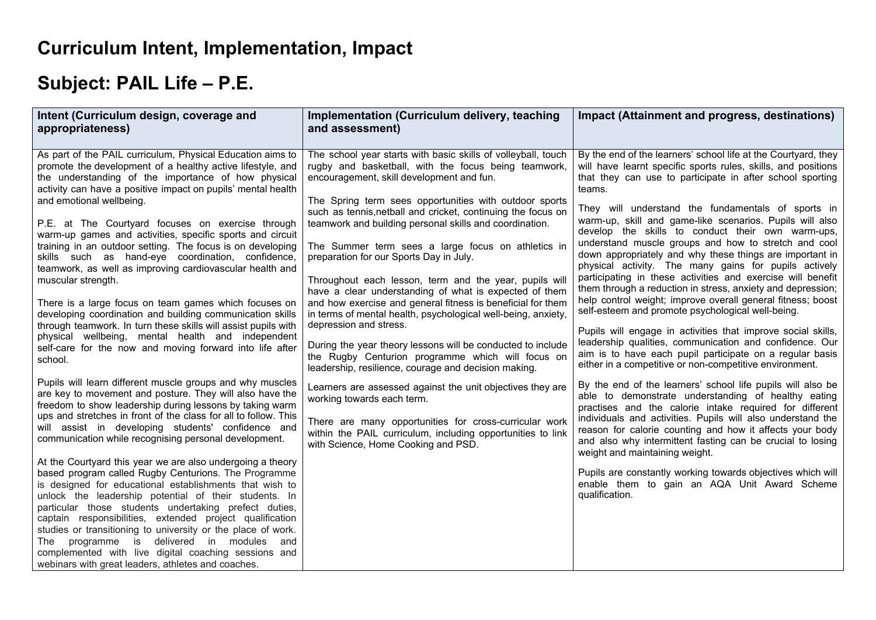## **Curriculum Intent, Implementation, Impact**

## **Subject: PAIL Life – P.E.**

| Intent (Curriculum design, coverage and<br>appropriateness)                                                                                                                                                                                                                                                                                                                                                                                                                                                                                                                                                                                                                                                                                                                                                                                                                                                                                                         | Implementation (Curriculum delivery, teaching<br>and assessment)                                                                                                                                                                                                                                                                                                                                                                                                                                                                                                                                                                                                                     | Impact (Attainment and progress, destinations)                                                                                                                                                                                                                                                                                                                                                                                                                                                                                                                                                                                                                                                                                                                                            |
|---------------------------------------------------------------------------------------------------------------------------------------------------------------------------------------------------------------------------------------------------------------------------------------------------------------------------------------------------------------------------------------------------------------------------------------------------------------------------------------------------------------------------------------------------------------------------------------------------------------------------------------------------------------------------------------------------------------------------------------------------------------------------------------------------------------------------------------------------------------------------------------------------------------------------------------------------------------------|--------------------------------------------------------------------------------------------------------------------------------------------------------------------------------------------------------------------------------------------------------------------------------------------------------------------------------------------------------------------------------------------------------------------------------------------------------------------------------------------------------------------------------------------------------------------------------------------------------------------------------------------------------------------------------------|-------------------------------------------------------------------------------------------------------------------------------------------------------------------------------------------------------------------------------------------------------------------------------------------------------------------------------------------------------------------------------------------------------------------------------------------------------------------------------------------------------------------------------------------------------------------------------------------------------------------------------------------------------------------------------------------------------------------------------------------------------------------------------------------|
| As part of the PAIL curriculum, Physical Education aims to<br>promote the development of a healthy active lifestyle, and<br>the understanding of the importance of how physical<br>activity can have a positive impact on pupils' mental health                                                                                                                                                                                                                                                                                                                                                                                                                                                                                                                                                                                                                                                                                                                     | The school year starts with basic skills of volleyball, touch<br>rugby and basketball, with the focus being teamwork,<br>encouragement, skill development and fun.                                                                                                                                                                                                                                                                                                                                                                                                                                                                                                                   | By the end of the learners' school life at the Courtyard, they<br>will have learnt specific sports rules, skills, and positions<br>that they can use to participate in after school sporting<br>teams.                                                                                                                                                                                                                                                                                                                                                                                                                                                                                                                                                                                    |
| and emotional wellbeing.<br>P.E. at The Courtyard focuses on exercise through<br>warm-up games and activities, specific sports and circuit<br>training in an outdoor setting. The focus is on developing<br>skills such as hand-eye coordination, confidence,<br>teamwork, as well as improving cardiovascular health and<br>muscular strength.<br>There is a large focus on team games which focuses on<br>developing coordination and building communication skills<br>through teamwork. In turn these skills will assist pupils with<br>physical wellbeing, mental health and independent<br>self-care for the now and moving forward into life after<br>school.                                                                                                                                                                                                                                                                                                 | The Spring term sees opportunities with outdoor sports<br>such as tennis, netball and cricket, continuing the focus on<br>teamwork and building personal skills and coordination.<br>The Summer term sees a large focus on athletics in<br>preparation for our Sports Day in July.<br>Throughout each lesson, term and the year, pupils will<br>have a clear understanding of what is expected of them<br>and how exercise and general fitness is beneficial for them<br>in terms of mental health, psychological well-being, anxiety,<br>depression and stress.<br>During the year theory lessons will be conducted to include<br>the Rugby Centurion programme which will focus on | They will understand the fundamentals of sports in<br>warm-up, skill and game-like scenarios. Pupils will also<br>develop the skills to conduct their own warm-ups,<br>understand muscle groups and how to stretch and cool<br>down appropriately and why these things are important in<br>physical activity. The many gains for pupils actively<br>participating in these activities and exercise will benefit<br>them through a reduction in stress, anxiety and depression;<br>help control weight; improve overall general fitness; boost<br>self-esteem and promote psychological well-being.<br>Pupils will engage in activities that improve social skills,<br>leadership qualities, communication and confidence. Our<br>aim is to have each pupil participate on a regular basis |
| Pupils will learn different muscle groups and why muscles<br>are key to movement and posture. They will also have the<br>freedom to show leadership during lessons by taking warm<br>ups and stretches in front of the class for all to follow. This<br>will assist in developing students' confidence and<br>communication while recognising personal development.<br>At the Courtyard this year we are also undergoing a theory<br>based program called Rugby Centurions. The Programme<br>is designed for educational establishments that wish to<br>unlock the leadership potential of their students. In<br>particular those students undertaking prefect duties,<br>captain responsibilities, extended project qualification<br>studies or transitioning to university or the place of work.<br>The programme is<br>delivered in modules<br>and<br>complemented with live digital coaching sessions and<br>webinars with great leaders, athletes and coaches. | leadership, resilience, courage and decision making.<br>Learners are assessed against the unit objectives they are<br>working towards each term.<br>There are many opportunities for cross-curricular work<br>within the PAIL curriculum, including opportunities to link<br>with Science, Home Cooking and PSD.                                                                                                                                                                                                                                                                                                                                                                     | either in a competitive or non-competitive environment.<br>By the end of the learners' school life pupils will also be<br>able to demonstrate understanding of healthy eating<br>practises and the calorie intake required for different<br>individuals and activities. Pupils will also understand the<br>reason for calorie counting and how it affects your body<br>and also why intermittent fasting can be crucial to losing<br>weight and maintaining weight.<br>Pupils are constantly working towards objectives which will<br>enable them to gain an AQA Unit Award Scheme<br>qualification.                                                                                                                                                                                      |